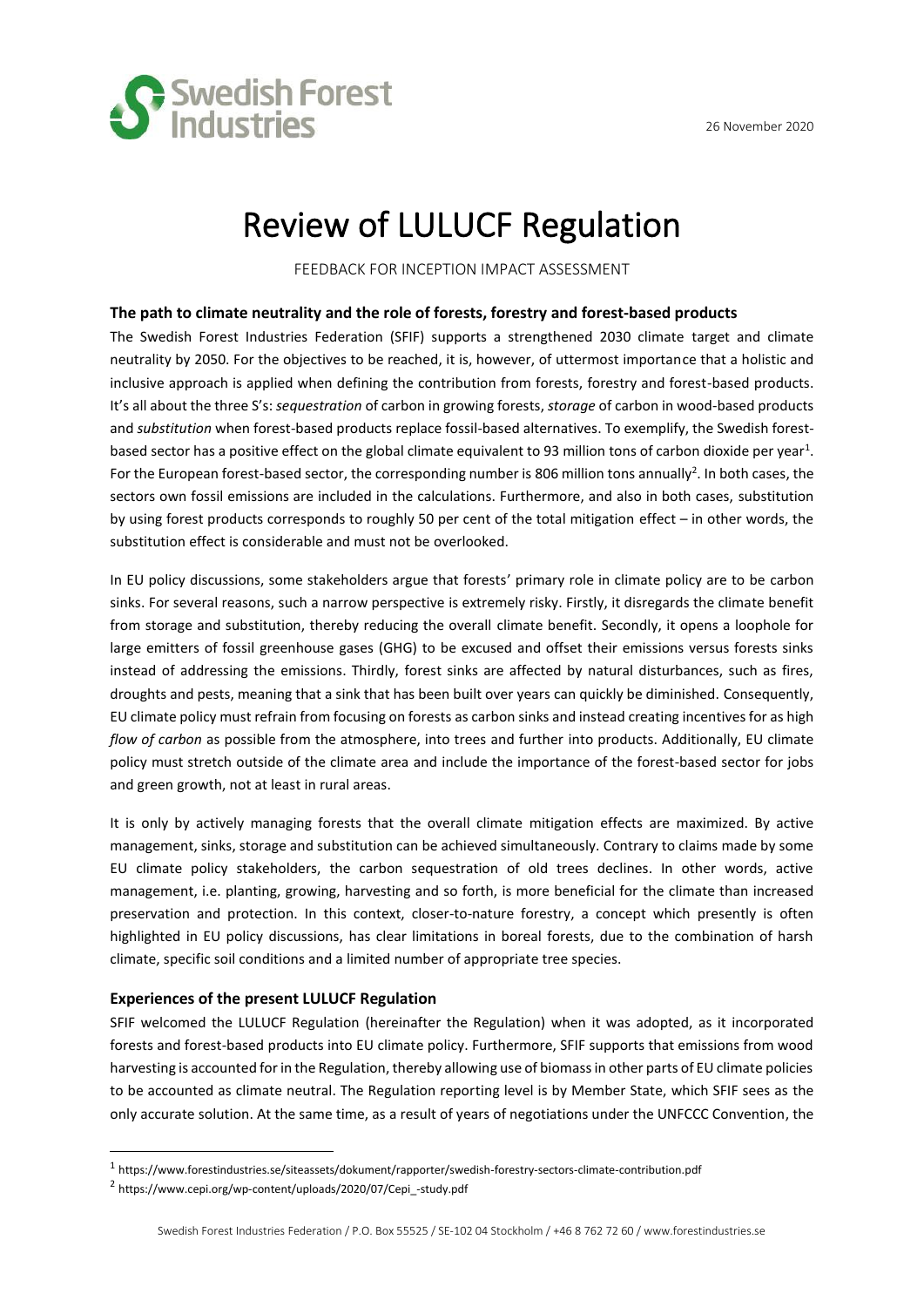

# Review of LULUCF Regulation

FEEDBACK FOR INCEPTION IMPACT ASSESSMENT

#### **The path to climate neutrality and the role of forests, forestry and forest-based products**

The Swedish Forest Industries Federation (SFIF) supports a strengthened 2030 climate target and climate neutrality by 2050. For the objectives to be reached, it is, however, of uttermost importance that a holistic and inclusive approach is applied when defining the contribution from forests, forestry and forest-based products. It's all about the three S's: *sequestration* of carbon in growing forests, *storage* of carbon in wood-based products and *substitution* when forest-based products replace fossil-based alternatives. To exemplify, the Swedish forestbased sector has a positive effect on the global climate equivalent to 93 million tons of carbon dioxide per year<sup>1</sup>. For the European forest-based sector, the corresponding number is 806 million tons annually<sup>2</sup>. In both cases, the sectors own fossil emissions are included in the calculations. Furthermore, and also in both cases, substitution by using forest products corresponds to roughly 50 per cent of the total mitigation effect – in other words, the substitution effect is considerable and must not be overlooked.

In EU policy discussions, some stakeholders argue that forests' primary role in climate policy are to be carbon sinks. For several reasons, such a narrow perspective is extremely risky. Firstly, it disregards the climate benefit from storage and substitution, thereby reducing the overall climate benefit. Secondly, it opens a loophole for large emitters of fossil greenhouse gases (GHG) to be excused and offset their emissions versus forests sinks instead of addressing the emissions. Thirdly, forest sinks are affected by natural disturbances, such as fires, droughts and pests, meaning that a sink that has been built over years can quickly be diminished. Consequently, EU climate policy must refrain from focusing on forests as carbon sinks and instead creating incentives for as high *flow of carbon* as possible from the atmosphere, into trees and further into products. Additionally, EU climate policy must stretch outside of the climate area and include the importance of the forest-based sector for jobs and green growth, not at least in rural areas.

It is only by actively managing forests that the overall climate mitigation effects are maximized. By active management, sinks, storage and substitution can be achieved simultaneously. Contrary to claims made by some EU climate policy stakeholders, the carbon sequestration of old trees declines. In other words, active management, i.e. planting, growing, harvesting and so forth, is more beneficial for the climate than increased preservation and protection. In this context, closer-to-nature forestry, a concept which presently is often highlighted in EU policy discussions, has clear limitations in boreal forests, due to the combination of harsh climate, specific soil conditions and a limited number of appropriate tree species.

#### **Experiences of the present LULUCF Regulation**

SFIF welcomed the LULUCF Regulation (hereinafter the Regulation) when it was adopted, as it incorporated forests and forest-based products into EU climate policy. Furthermore, SFIF supports that emissions from wood harvesting is accounted for in the Regulation, thereby allowing use of biomass in other parts of EU climate policies to be accounted as climate neutral. The Regulation reporting level is by Member State, which SFIF sees as the only accurate solution. At the same time, as a result of years of negotiations under the UNFCCC Convention, the

<sup>1</sup> https://www.forestindustries.se/siteassets/dokument/rapporter/swedish-forestry-sectors-climate-contribution.pdf

<sup>2</sup> https://www.cepi.org/wp-content/uploads/2020/07/Cepi\_-study.pdf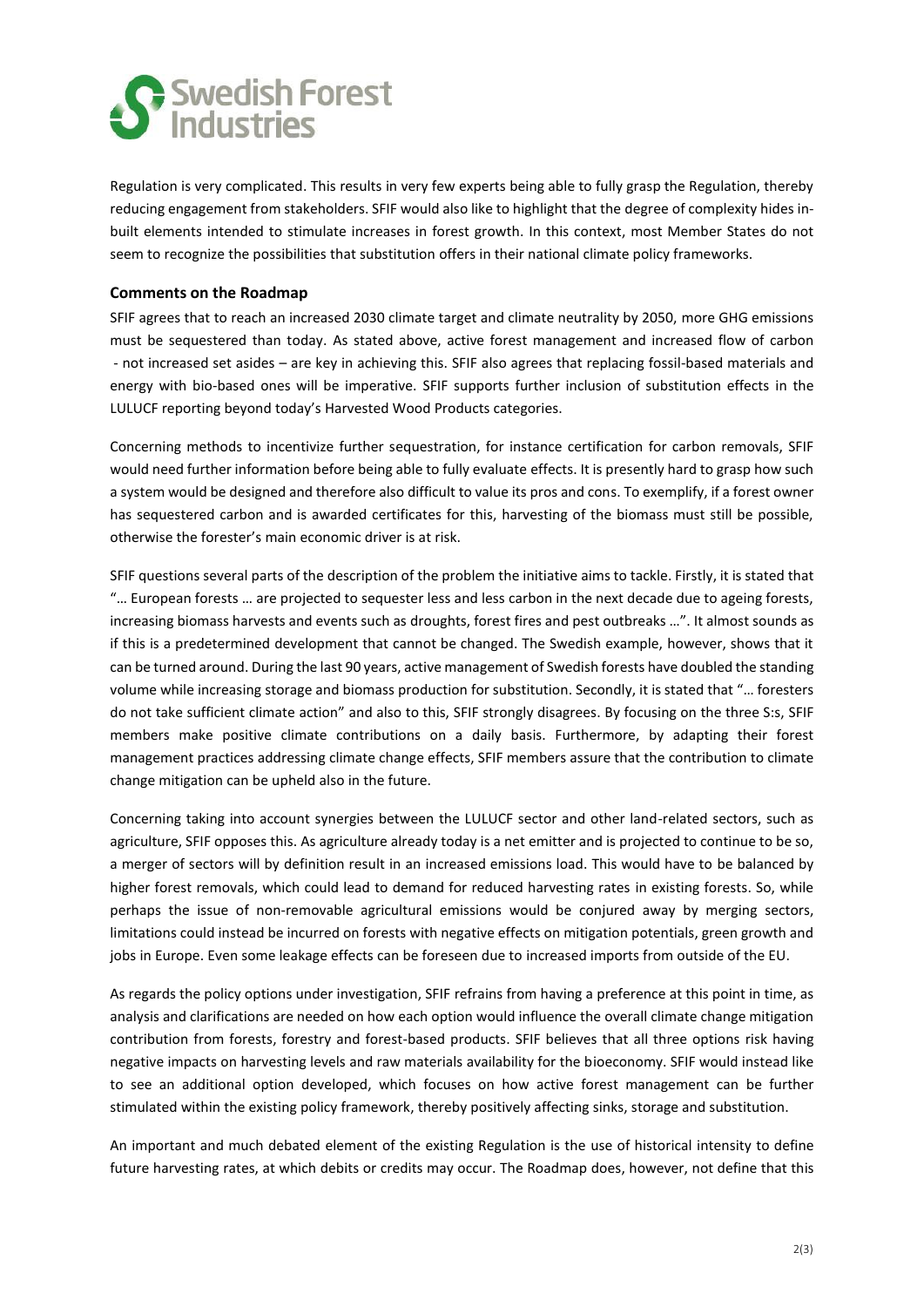

Regulation is very complicated. This results in very few experts being able to fully grasp the Regulation, thereby reducing engagement from stakeholders. SFIF would also like to highlight that the degree of complexity hides inbuilt elements intended to stimulate increases in forest growth. In this context, most Member States do not seem to recognize the possibilities that substitution offers in their national climate policy frameworks.

### **Comments on the Roadmap**

SFIF agrees that to reach an increased 2030 climate target and climate neutrality by 2050, more GHG emissions must be sequestered than today. As stated above, active forest management and increased flow of carbon - not increased set asides – are key in achieving this. SFIF also agrees that replacing fossil-based materials and energy with bio-based ones will be imperative. SFIF supports further inclusion of substitution effects in the LULUCF reporting beyond today's Harvested Wood Products categories.

Concerning methods to incentivize further sequestration, for instance certification for carbon removals, SFIF would need further information before being able to fully evaluate effects. It is presently hard to grasp how such a system would be designed and therefore also difficult to value its pros and cons. To exemplify, if a forest owner has sequestered carbon and is awarded certificates for this, harvesting of the biomass must still be possible, otherwise the forester's main economic driver is at risk.

SFIF questions several parts of the description of the problem the initiative aims to tackle. Firstly, it is stated that "… European forests … are projected to sequester less and less carbon in the next decade due to ageing forests, increasing biomass harvests and events such as droughts, forest fires and pest outbreaks …". It almost sounds as if this is a predetermined development that cannot be changed. The Swedish example, however, shows that it can be turned around. During the last 90 years, active management of Swedish forests have doubled the standing volume while increasing storage and biomass production for substitution. Secondly, it is stated that "… foresters do not take sufficient climate action" and also to this, SFIF strongly disagrees. By focusing on the three S:s, SFIF members make positive climate contributions on a daily basis. Furthermore, by adapting their forest management practices addressing climate change effects, SFIF members assure that the contribution to climate change mitigation can be upheld also in the future.

Concerning taking into account synergies between the LULUCF sector and other land-related sectors, such as agriculture, SFIF opposes this. As agriculture already today is a net emitter and is projected to continue to be so, a merger of sectors will by definition result in an increased emissions load. This would have to be balanced by higher forest removals, which could lead to demand for reduced harvesting rates in existing forests. So, while perhaps the issue of non-removable agricultural emissions would be conjured away by merging sectors, limitations could instead be incurred on forests with negative effects on mitigation potentials, green growth and jobs in Europe. Even some leakage effects can be foreseen due to increased imports from outside of the EU.

As regards the policy options under investigation, SFIF refrains from having a preference at this point in time, as analysis and clarifications are needed on how each option would influence the overall climate change mitigation contribution from forests, forestry and forest-based products. SFIF believes that all three options risk having negative impacts on harvesting levels and raw materials availability for the bioeconomy. SFIF would instead like to see an additional option developed, which focuses on how active forest management can be further stimulated within the existing policy framework, thereby positively affecting sinks, storage and substitution.

An important and much debated element of the existing Regulation is the use of historical intensity to define future harvesting rates, at which debits or credits may occur. The Roadmap does, however, not define that this